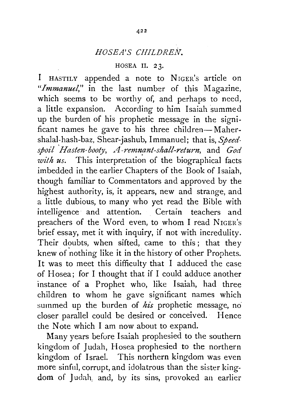## *HOSEA' S CHILDREN.*

## HOSEA II. 23.

I HASTILY appended a note to NIGER's article on *"Immanuel,"* in the last number of this Magazine, which seems to be worthy of, and perhaps to need, a little expansion. According to him Isaiah summed up the burden of his prophetic message in the significant names he gave to his three children-Mahershalal-hash-baz, Shear-jashub, lmmanuel; that is, *Speedspoil Hasten-booty, A-remnant-shall-return, and God with us.* This interpretation of the biographical facts imbedded in the earlier Chapters of the Book of Isaiah, though familiar to Commentators and approved by the highest authority, is, it appears, new and strange, and a little dubious, to many who yet read the Bible with intelligence· and attention. Certain teachers and preachers of the Word even, to whom I read NIGER's brief essay, met it with inquiry, if not with incredulity. Their doubts, when sifted, came to this; that they knew of nothing like it in the history of other Prophets. It was to meet this difficulty that I adduced the case of Hosea; for I thought that if I could adduce another instance of a Prophet who, like Isaiah, had three children to whom he gave significant names which summed up the burden of his prophetic message, no closer parallel could be desired or conceived. Hence the Note which I am now about to expand.

Many years before Isaiah prophesied to the southern kingdom of Judah, Hosea prophesied to the northern kingdom of Israel. This northern kingdom was even more sinful, corrupt, and idolatrous than the sister kingdom of Judah, and, by its sins, provoked an earlier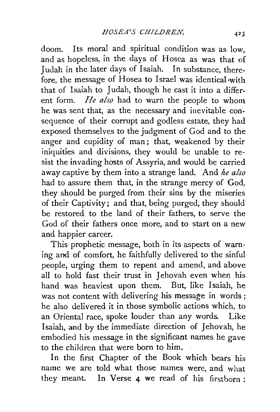doom. Its moral and spiritual condition was as low, and as hopeless, in the days of Hosea as was that of Judah in the later days of Isaiah. In substance, therefore, the message of Hosea to Israel was identical with that of Isaiah to Judah, though he cast it into a different form. *He also* had to warn the people to whom he was sent that, as the necessary and inevitable consequence of their corrupt and godless estate, they had exposed themselves to the judgment of God and to the anger and cupidity of man; that, weakened by their iniquities and divisions, they would be unable to resist the invading hosts of Assyria, and would be carried away captive by them into a strange land. And *he also*  had to assure them that, in the strange mercy of God, they should be purged from their sins by the miseries of their Captivity; and that, being purged, they should be restored to the land of their fathers, to serve the God of their fathers once more, and to start on a new and happier career.

This prophetic message, both in its aspects of warning and of comfort, he faithfully delivered to the sinful people, urging them to repent and amend, and above all to hold fast their trust in Jehovah even when his hand was heaviest upon them. But, like Isaiah, he was not content with delivering his message in words ; he also delivered it in those symbolic actions which, to an Oriental race, spoke louder than any words. Like Isaiah, and by the immediate direction of Jehovah, he embodied his message in the significant names he gave to the children that were born to him.

In the first Chapter of the Book which bears his name we are told what those names were, and what they meant. In Verse 4 we read of his firstborn: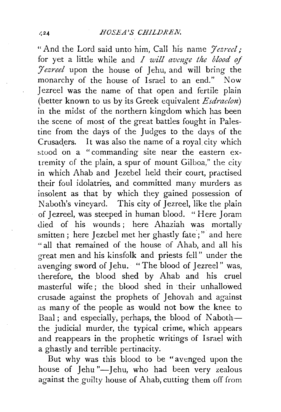"And the Lord said unto him, Caii his name *Jezreel;*  for yet a little while and *I will avmge the blood of Jezreel* upon the house of Jehu, and will bring the monarchy of the house of Israel to an end." Now Jezreel was the name of that open and fertile plain (better known to us by its Greek equivalent *Esdraelon)*  in the midst of the northern kingdom which has been the scene of most of the great battles fought in Palestine from the days of the Judges to the days of the Crusaders. It was also the name of a royal city which stood on a "commanding site near the eastern extremity of the plain, a spur of mount Gilboa," the city in which Ahab and Jezebel held their court, practised their foul idolatries, and committed many murders as insolent as that by which they gained possession of Naboth's vineyard. This city of Jezreel, like the plain of Jezreel, was steeped in human blood. "Here Joram died of his wounds; here Ahaziah was mortally smitten; here Jezebel met her ghastly fate;" and here " all that remained of the house of Ahab, and all his great men and his kinsfolk and priests fell" under the avenging sword of Jehu. "The blood of Jezreel" was, therefore, the blood shed by Ahab and his cruel masterful wife ; the blood shed in their unhallowed crusade against the prophets of Jehovah and against as many of the people as would not bow the knee to Baal; and especially, perhaps, the blood of Naboththe judicial murder, the typical crime, which appears and reappears in the prophetic writings of Israel with a ghastly and terrible pertinacity.

But why was this blood to be "avenged upon the house of Jehu"-Jehu, who had been very zealous against the guilty house of Ahab, cutting them off from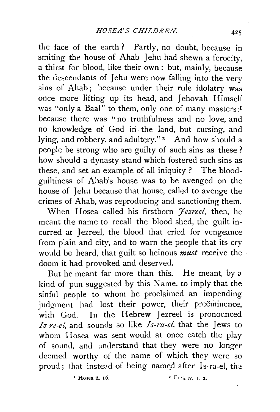the face of the earth? Partly, no doubt, because in smiting the house of Ahab Jehu had shewn a ferocity, a thirst for blood, like their own: but, mainly, because the descendants of Jehu were now falling into the very sins of Ahab; because under their rule idolatry was once more lifting up its head, and Jehovah Himself was "only a Baal" to them, only one of many masters;<sup>1</sup> because there was "no truthfulness and no love, and no knowledge of God in the land, but cursing, and lying, and robbery, and adultery."<sup>2</sup> And how should a people be strong who are guilty of such sins as these ? how should a dynasty stand which fostered such sins as these, and set an example of all iniquity ? The bloodguiltiness of Ahab's house was to be avenged on the house of Jehu because that house, called to avenge the crimes of Ahab, was reproducing and sanctioning them.

When Hosea called his firstborn *Jezreel*, then, he meant the name to recall the blood shed, the guilt incurred at Jezreel, the blood that cried for vengeance from plain and city, and to warn the people that its cry would be heard, that guilt so heinous *must* receive the doom it had provoked and deserved.

But he meant far more than this. He meant, by *a*  kind of pun suggested by this Name, to imply that the sinful people to whom he proclaimed an impending. judgment had lost their power, their preeminence, with God. In the Hebrew Jezreel is pronounced *I:::-re-el,* and sounds so like *Is-ra-el,* that the Jews to whom Hosea was sent would at once catch the play of sound, and understand that they were no longer deemed worthy of the name of which they were so proud; that instead of being named after Is-ra-el, the

 $\frac{1}{2}$  Hosea ii. 16.  $\frac{1}{2}$  Hosea ii. 16.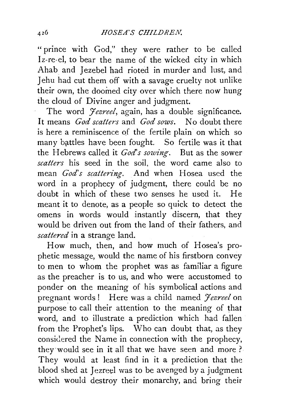"prince with God," they were rather to be called Iz-re-el, to bear the name of the wicked city in which Ahab and Jezebel had rioted in murder and lust, and Jehu had cut them off with a savage cruelty not unlike their own, the doomed city over which there now hung the cloud of Divine anger and judgment.

The word *Jezreel*, again, has a double significance. It means *God scatters* and *God sows.* No doubt there is here a reminiscence of the fertile plain on which so many battles have been fought. So fertile was it that the Hebrews called it *God's sowing.* But as the sower *scatters* his seed in the soil, the word came also to mean *God's scattering.* And when Hosea used the word in a prophecy of judgment, there could be no doubt in which of these two senses he used it. He meant it to denote, as a people so quick to detect the omens in words would instantly discern, that they would be driven out from the land of their fathers, and *scattered* in a strange land.

How much, then, and how much of Hosea's prophetic message, would the name of his firstborn convey to men to whom the prophet was as familiar a figure as the preacher is to us, and who were accustomed to ponder on the meaning of his symbolical actions and pregnant words! Here was a child named *Jezreel* on purpose to call their attention to the meaning of that word, and to illustrate a prediction which had fallen from the Prophet's lips. Who can doubt that, as they considered the Name in connection with the prophecy, they would see in it all that we have seen and more ? They would at least find in it a prediction that the blood shed at Jezreel was to be avenged by a judgment which would destroy their monarchy, and bring their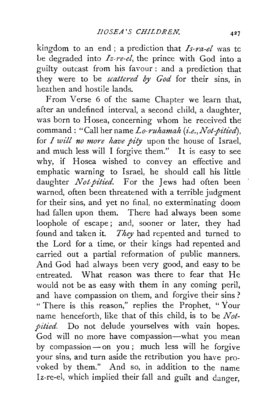kingdom to an end ; a prediction that *Is-ra-el* was tc Le degraded into *Iz-re-el,* the prince with God into a guilty outcast from his favour : and a prediction that they were to be *scattered by God* for their sins, in heathen and hostile lands.

From Verse 6 of the same Chapter we learn that, after an undefined interval, a second child, a daughter, was born to Hosea, concerning whom he received the command: "Call her name *Lo-ruhamah (i.e., Not-pitied)*, for *I will no more have pity* upon the house of Israel, and much less will I forgive them." It is easy to see why, if Hosea wished to convey an effective and emphatic warning to Israel, he should call his little daughter *Not-pitied*. For the Jews had often been warned, often been threatened with a terrible judgment for their sins, and yet no final, no exterminating doom had fallen upon them. There had always been some loophole of escape; and, sooner or later, they had found and taken it. *They* had repented and turned to the Lord for a time, or their kings had repented and carried out a partial reformation of public manners. And God had always been very good, and easy to be entreated. What reason was there to fear that He would not be as easy with them in any coming peril, and have compassion on them, and forgive their sins? " There is this reason," replies the Prophet, " Your name henceforth, like that of this child, is to be *Not*pitied. Do not delude yourselves with vain hopes. God will no more have compassion-what you mean by compassion-on you; much less will he forgive your sins, and turn aside the retribution you have pro voked by them." And so, in addition to the name Iz-re-el, which implied their fall and guilt and danger,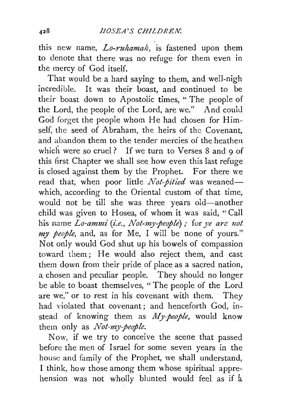this new name, *Lo-ruhamalt,* is fastened upon them to denote that there was no refuge for them even in the mercy of God itself.

That would be a hard saying to them, and well-nigh incredible. It was their boast, and continued to be their boast down to Apostolic times, "The people of the Lord, the people of the Lord, are we." And could God forget the people whom He had chosen for Himself, the seed of Abraham, the heirs of the Covenant, and abandon them to the tender mercies of the heathen which were so cruel? If we turn to Verses  $8$  and  $9$  of this first Chapter we shall see how even this last refuge is closed against them by the Prophet. For there we read that, when poor little *Not-pitied* was weanedwhich, according to the Oriental custom of that time, would not be till she was three years old-another child was given to Hosea, of whom it was said, "Call his name *Lo-ammi (i.e., Not-my-people)*; for *ye are not my people,* and, as for Me, I will be none of yours." Not only would God shut up his bowels of compassion toward them; He would also reject them, and cast them down from their pride of place as a sacred nation, a chosen and peculiar people. They should no longer be able to boast themselves, "The people of the Lord are we," or to rest in his covenant with them. They had violated that covenant ; and henceforth God, instead of knowing them as *My-people*, would know them only as *Not-my-people.* 

Now, if we try to conceive the scene that passed before the men of Israel for some seven years in the house and family of the Prophet, we shall understand, I think, how those among them whose spiritual apprehension was not wholly blunted would feel as if  $\frac{1}{4}$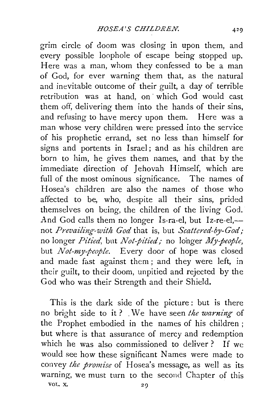grim circle of doom was closing in upon them, and every possible loophole of escape being stopped up. Here was a man, whom they confessed to be a man of God, for ever warning them that, as the natural and inevitable outcome of their guilt, a day of terrible retribution was at hand, on ' which God would cast them off, delivering them into the hands of their sins, and refusing to have mercy upon them. Here was a man whose very children were pressed into the service of his prophetic errand, set no less than himself for signs and portents in Israel; and as his children are born to him, he gives them names, and that by the immediate direction of Jehovah Himself, which are full of the most ominous significance. The names of Hosea's children are also the names of those who affected to be, who, despite all their sins, prided themselves on being, the children of the living God. And God calls them no longer Is-ra-el, but Iz-re-el,not Prevailing-with God that is, but *Scattered-by-God*; no longer *Pitied,* but *Not-pitied;* no longer *My-people,*  but *Not-my-people.* Every door of hope was closed and made fast against them ; and they were left, in their guilt, to their doom, unpitied and rejected by the God who was their Strength and their Shield.

This is the dark side of the picture : but is there no bright side to it? We have seen *the warning* of the Prophet embodied in the names of his children ; but where is that assurance of mercy and redemption which he was also commissioned to deliver? If we would see how these significant Names were made to convey *the promise* of Hosea's message, as well as its warning, we must turn to the second Chapter of this VOL. X. 29

429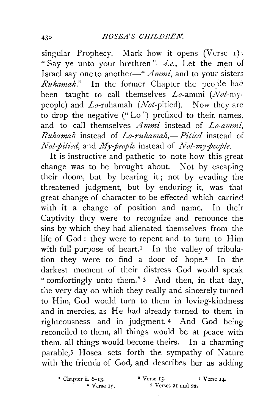singular Prophecy. Mark how it opens (Verse 1): "Say ye unto your brethren"-i.e., Let the men of Israel say one to another-" *Ammi,* and to your sisters *Ruhamah."* In the former Chapter the people hac been taught to call themselves *Lo-ammi (Not-my*people) and Lo-ruhamah *(Not-pitied).* Now they are to drop the negative (" Lo ") prefixed to their. names, and to call themselves *Ammi* instead of *Lo-ammi, Ruhamah* instead of *Lo-ruhamah,- Pitied* instead of *Not-pitied,* and *My-people* instead of *Not-my-people.* 

It is instructive and pathetic to note how this great change was to be brought about. Not by escaping their doom, but by bearing it; not by evading the threatened judgment, but by enduring it, was thal great change of character to be effected which carried with it a change of position and name. In their Captivity they were to recognize and renounce the sins by which they had alienated themselves from the life of God: they were to repent and to turn to Him with full purpose of heart.<sup>1</sup> In the valley of tribulation they were to find a door of hope.<sup>2</sup> In the darkest moment of their distress God would speak "comfortingly unto them." 3 And then, in that day, the very day on which they really and sincerely turned to Him, God would turn to them in loving-kindness and in mercies, as He had already turned to them in righteousness and in judgment. 4 And God being reconciled to them, all things would be at peace with them, all things would become theirs. In a charming parable,5 Hosea sets forth the sympathy of Nature with the friends of God, and describes her as adding

 $\bullet$  Chapter ii. 6-13.  $\bullet$  Verse 15.  $\bullet$  Verse 14.  $4$  Verse I $\circ$ .  $5$  Verses 2I and 22.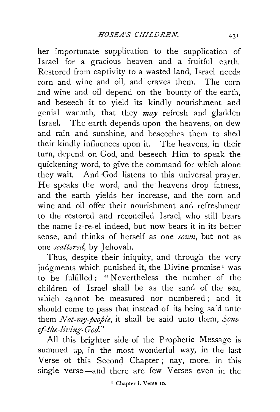her importunate supplication to the supplication of Israel for a gracious heaven and a fruitful earth. Restored from captivity to a wasted land, Israel needs corn and wine and oil, and craves them. The corn and wine and oil depend on the bounty of the earth, and beseech it to yield its kindly nourishment and genial warmth, that they *may* refresh and gladden Israel. The earth depends upon the heavens, on dew and rain and sunshine, and beseeches them to shed their kindly influences upon it. The heavens, in their turn, depend on God, and beseech Him to speak the quickening word, to give the command for which alone they wait. And God listens to this universal prayer. He speaks the word, and the heavens drop fatness, and the earth yields her increase, and the corn and wine and oil offer their nourishment and refreshment to the restored and reconciled Israel, who still bears the name lz-re-el indeed, but now bears it in its better sense, and thinks of herself as one *sown*, but not as one *scattered*, by Jehovah.

Thus, despite their iniquity, and through the very judgments which punished it, the Divine promise<sup>1</sup> was to be fulfilled : " Nevertheless the number of the children of Israel shall be as the sand of the sea, which cannot be measured nor numbered; and it should come to pass that instead of its being said unto them *Not-my-people,* it shall be said unto them, *Sons. of-the-living-God."* 

All this brighter side of the Prophetic Message is summed up, in the most wonderful way, in the last Verse of this Second Chapter ; nay, more, in this single verse-and there are few Verses even in the

1 Chapter.i. Verse 10.